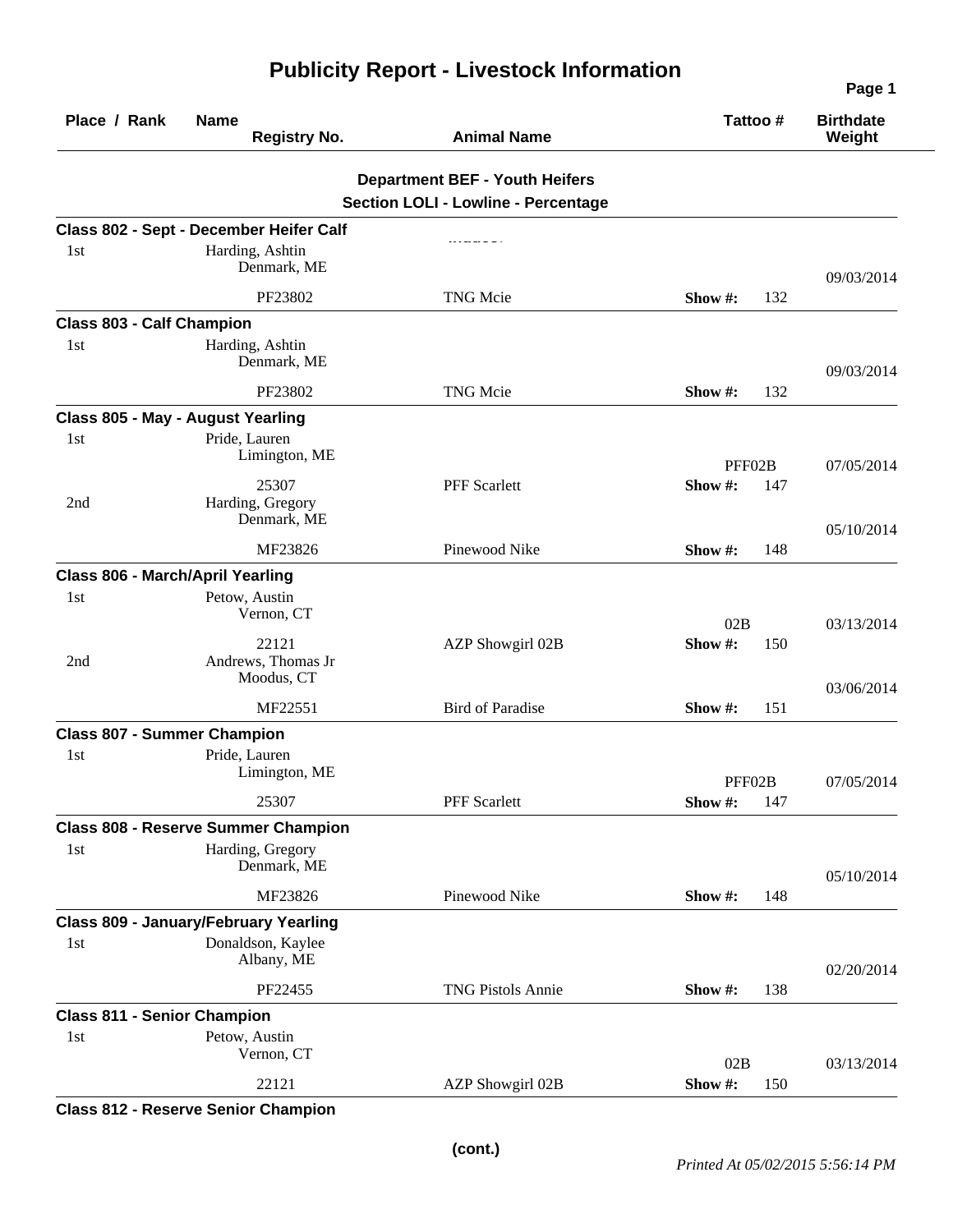| Place / Rank                       | <b>Name</b><br><b>Registry No.</b>           | <b>Animal Name</b>                                                                  | Tattoo#                      | <b>Birthdate</b><br>Weight |
|------------------------------------|----------------------------------------------|-------------------------------------------------------------------------------------|------------------------------|----------------------------|
|                                    |                                              | <b>Department BEF - Youth Heifers</b><br><b>Section LOLI - Lowline - Percentage</b> |                              |                            |
|                                    | Class 802 - Sept - December Heifer Calf      |                                                                                     |                              |                            |
| 1st                                | Harding, Ashtin<br>Denmark, ME               |                                                                                     |                              | 09/03/2014                 |
|                                    | PF23802                                      | <b>TNG Mcie</b>                                                                     | 132<br>Show $#$ :            |                            |
| <b>Class 803 - Calf Champion</b>   |                                              |                                                                                     |                              |                            |
| 1st                                | Harding, Ashtin<br>Denmark, ME               |                                                                                     |                              | 09/03/2014                 |
|                                    | PF23802                                      | <b>TNG Mcie</b>                                                                     | 132<br>Show #:               |                            |
|                                    | Class 805 - May - August Yearling            |                                                                                     |                              |                            |
| 1st                                | Pride, Lauren<br>Limington, ME               |                                                                                     | PFF02B                       | 07/05/2014                 |
|                                    | 25307                                        | <b>PFF</b> Scarlett                                                                 | Show #:<br>147               |                            |
| 2nd                                | Harding, Gregory<br>Denmark, ME              |                                                                                     |                              | 05/10/2014                 |
|                                    | MF23826                                      | Pinewood Nike                                                                       | Show #:<br>148               |                            |
|                                    | Class 806 - March/April Yearling             |                                                                                     |                              |                            |
| 1st                                | Petow, Austin<br>Vernon, CT                  |                                                                                     | 02B                          | 03/13/2014                 |
| 2nd                                | 22121<br>Andrews, Thomas Jr<br>Moodus, CT    | AZP Showgirl 02B                                                                    | Show #:<br>150               | 03/06/2014                 |
|                                    | MF22551                                      | <b>Bird of Paradise</b>                                                             | 151<br>Show $#$ :            |                            |
| <b>Class 807 - Summer Champion</b> |                                              |                                                                                     |                              |                            |
| 1st                                | Pride, Lauren<br>Limington, ME               |                                                                                     |                              |                            |
|                                    | 25307                                        | <b>PFF</b> Scarlett                                                                 | PFF02B<br>Show $\#$ :<br>147 | 07/05/2014                 |
|                                    | <b>Class 808 - Reserve Summer Champion</b>   |                                                                                     |                              |                            |
| 1st                                | Harding, Gregory<br>Denmark, ME              |                                                                                     |                              | 05/10/2014                 |
|                                    | MF23826                                      | Pinewood Nike                                                                       | Show #:<br>148               |                            |
|                                    | <b>Class 809 - January/February Yearling</b> |                                                                                     |                              |                            |
| 1st                                | Donaldson, Kaylee<br>Albany, ME              |                                                                                     |                              | 02/20/2014                 |
|                                    | PF22455                                      | <b>TNG Pistols Annie</b>                                                            | Show #:<br>138               |                            |
| <b>Class 811 - Senior Champion</b> |                                              |                                                                                     |                              |                            |
| 1st                                | Petow, Austin<br>Vernon, CT                  |                                                                                     | 02B                          | 03/13/2014                 |
|                                    | 22121                                        | AZP Showgirl 02B                                                                    | Show #:<br>150               |                            |

## **Publicity Report - Livestock Information**

**Class 812 - Reserve Senior Champion** 

**Page 1**